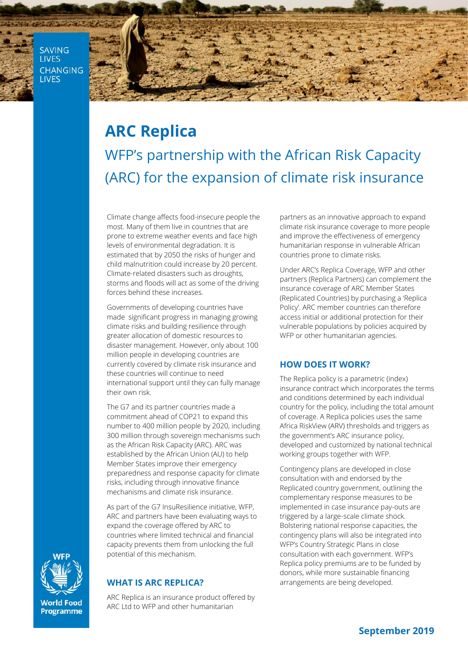**SAVING LIVES CHANGING LIVES** 



# **ARC Replica** WFP's partnership with the African Risk Capacity (ARC) for the expansion of climate risk insurance

Climate change affects food-insecure people the most. Many of them live in countries that are prone to extreme weather events and face high levels of environmental degradation. It is estimated that by 2050 the risks of hunger and child malnutrition could increase by 20 percent. Climate-related disasters such as droughts, storms and floods will act as some of the driving forces behind these increases.

Governments of developing countries have made significant progress in managing growing climate risks and building resilience through greater allocation of domestic resources to disaster management. However, only about 100 million people in developing countries are currently covered by climate risk insurance and these countries will continue to need international support until they can fully manage their own risk.

The G7 and its partner countries made a commitment ahead of COP21 to expand this number to 400 million people by 2020, including 300 million through sovereign mechanisms such as the African Risk Capacity (ARC). ARC was established by the African Union (AU) to help Member States improve their emergency preparedness and response capacity for climate risks, including through innovative finance mechanisms and climate risk insurance.

As part of the G7 InsuResilience initiative, WFP, ARC and partners have been evaluating ways to expand the coverage offered by ARC to countries where limited technical and financial capacity prevents them from unlocking the full potential of this mechanism.

## **WHAT IS ARC REPLICA?**

ARC Replica is an insurance product offered by ARC Ltd to WFP and other humanitarian

partners as an innovative approach to expand climate risk insurance coverage to more people and improve the effectiveness of emergency humanitarian response in vulnerable African countries prone to climate risks.

Under ARC's Replica Coverage, WFP and other partners (Replica Partners) can complement the insurance coverage of ARC Member States (Replicated Countries) by purchasing a 'Replica Policy'. ARC member countries can therefore access initial or additional protection for their vulnerable populations by policies acquired by WFP or other humanitarian agencies.

## **HOW DOES IT WORK?**

The Replica policy is a parametric (index) insurance contract which incorporates the terms and conditions determined by each individual country for the policy, including the total amount of coverage. A Replica policies uses the same Africa RiskView (ARV) thresholds and triggers as the government's ARC insurance policy, developed and customized by national technical working groups together with WFP.

Contingency plans are developed in close consultation with and endorsed by the Replicated country government, outlining the complementary response measures to be implemented in case insurance pay-outs are triggered by a large-scale climate shock. Bolstering national response capacities, the contingency plans will also be integrated into WFP's Country Strategic Plans in close consultation with each government. WFP's Replica policy premiums are to be funded by donors, while more sustainable financing arrangements are being developed.



**World Food** Programme